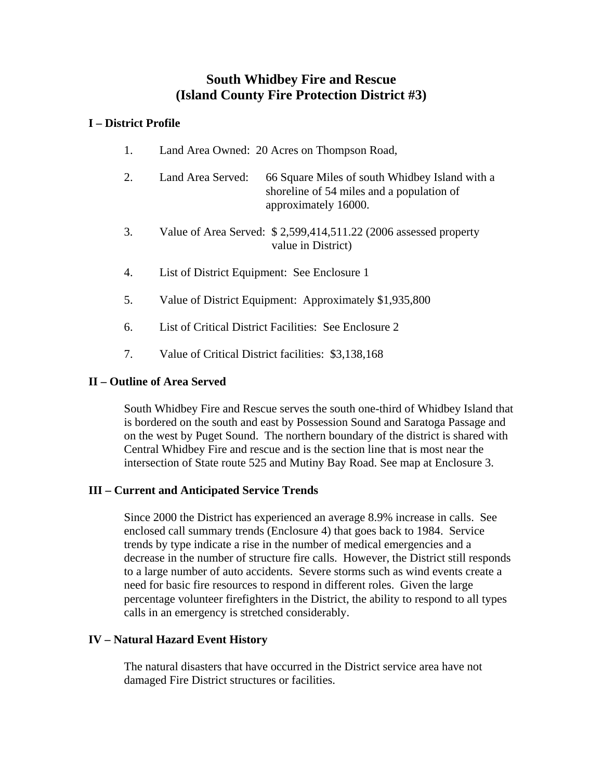# **South Whidbey Fire and Rescue (Island County Fire Protection District #3)**

## **I – District Profile**

- 1. Land Area Owned: 20 Acres on Thompson Road,
- 2. Land Area Served: 66 Square Miles of south Whidbey Island with a shoreline of 54 miles and a population of approximately 16000.
- 3. Value of Area Served: \$ 2,599,414,511.22 (2006 assessed property value in District)
- 4. List of District Equipment: See Enclosure 1
- 5. Value of District Equipment: Approximately \$1,935,800
- 6. List of Critical District Facilities: See Enclosure 2
- 7. Value of Critical District facilities: \$3,138,168

### **II – Outline of Area Served**

South Whidbey Fire and Rescue serves the south one-third of Whidbey Island that is bordered on the south and east by Possession Sound and Saratoga Passage and on the west by Puget Sound. The northern boundary of the district is shared with Central Whidbey Fire and rescue and is the section line that is most near the intersection of State route 525 and Mutiny Bay Road. See map at Enclosure 3.

### **III – Current and Anticipated Service Trends**

Since 2000 the District has experienced an average 8.9% increase in calls. See enclosed call summary trends (Enclosure 4) that goes back to 1984. Service trends by type indicate a rise in the number of medical emergencies and a decrease in the number of structure fire calls. However, the District still responds to a large number of auto accidents. Severe storms such as wind events create a need for basic fire resources to respond in different roles. Given the large percentage volunteer firefighters in the District, the ability to respond to all types calls in an emergency is stretched considerably.

### **IV – Natural Hazard Event History**

The natural disasters that have occurred in the District service area have not damaged Fire District structures or facilities.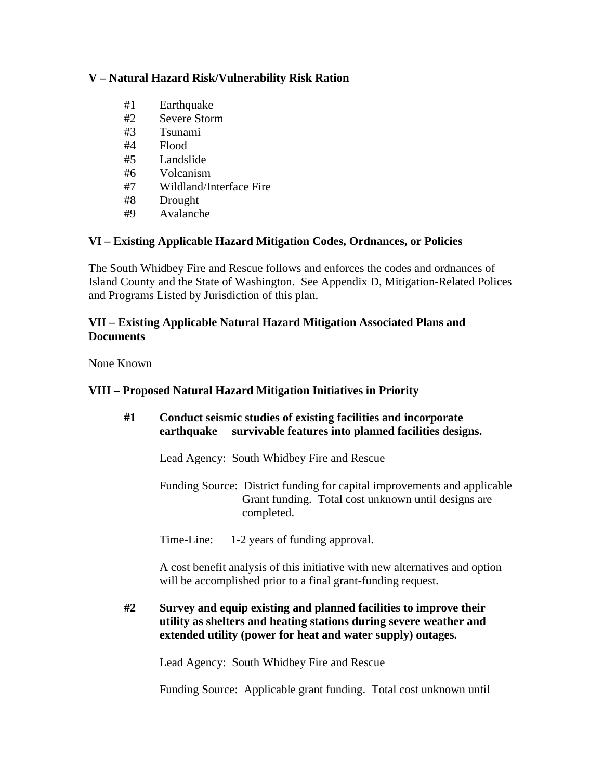## **V – Natural Hazard Risk/Vulnerability Risk Ration**

- #1 Earthquake
- #2 Severe Storm
- #3 Tsunami
- #4 Flood
- #5 Landslide
- #6 Volcanism
- #7 Wildland/Interface Fire
- #8 Drought
- #9 Avalanche

# **VI – Existing Applicable Hazard Mitigation Codes, Ordnances, or Policies**

The South Whidbey Fire and Rescue follows and enforces the codes and ordnances of Island County and the State of Washington. See Appendix D, Mitigation-Related Polices and Programs Listed by Jurisdiction of this plan.

## **VII – Existing Applicable Natural Hazard Mitigation Associated Plans and Documents**

None Known

# **VIII – Proposed Natural Hazard Mitigation Initiatives in Priority**

| #1 | Conduct seismic studies of existing facilities and incorporate<br>survivable features into planned facilities designs.<br>earthquake                                                                   |
|----|--------------------------------------------------------------------------------------------------------------------------------------------------------------------------------------------------------|
|    | Lead Agency: South Whidbey Fire and Rescue                                                                                                                                                             |
|    | Funding Source: District funding for capital improvements and applicable<br>Grant funding. Total cost unknown until designs are<br>completed.                                                          |
|    | Time-Line:<br>1-2 years of funding approval.                                                                                                                                                           |
|    | A cost benefit analysis of this initiative with new alternatives and option<br>will be accomplished prior to a final grant-funding request.                                                            |
| #2 | Survey and equip existing and planned facilities to improve their<br>utility as shelters and heating stations during severe weather and<br>extended utility (power for heat and water supply) outages. |

Lead Agency: South Whidbey Fire and Rescue

Funding Source: Applicable grant funding. Total cost unknown until